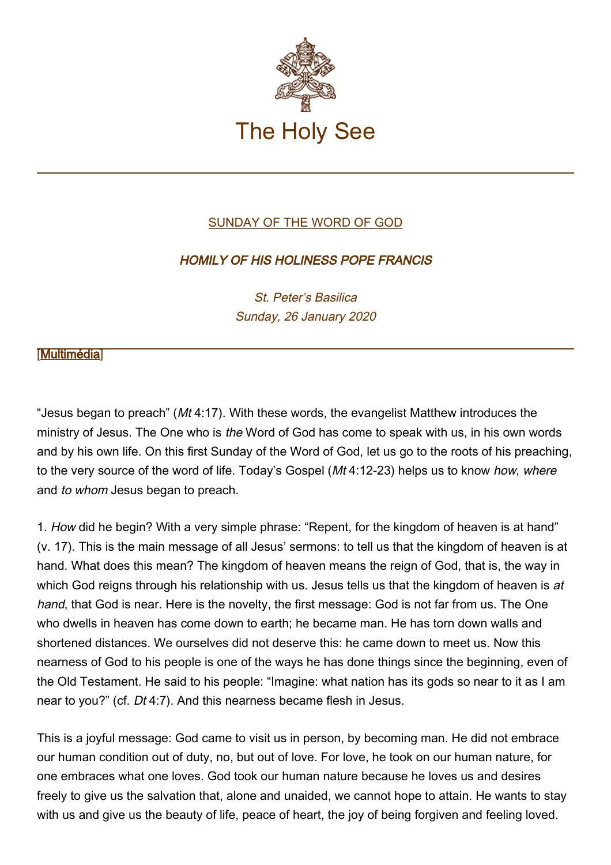

## [SUNDAY OF THE WORD OF GOD](http://www.vatican.va/news_services/liturgy/libretti/2020/20200126-libretto-domenica-parola-di-dio.pdf)

## HOMILY OF HIS HOLINESS POPE FRANCIS

St. Peter's Basilica Sunday, 26 January 2020

## **Multimédia**

"Jesus began to preach" ( $Mt$  4:17). With these words, the evangelist Matthew introduces the ministry of Jesus. The One who is the Word of God has come to speak with us, in his own words and by his own life. On this first Sunday of the Word of God, let us go to the roots of his preaching, to the very source of the word of life. Today's Gospel (Mt 4:12-23) helps us to know how, where and to whom Jesus began to preach.

1. How did he begin? With a very simple phrase: "Repent, for the kingdom of heaven is at hand" (v. 17). This is the main message of all Jesus' sermons: to tell us that the kingdom of heaven is at hand. What does this mean? The kingdom of heaven means the reign of God, that is, the way in which God reigns through his relationship with us. Jesus tells us that the kingdom of heaven is at hand, that God is near. Here is the novelty, the first message: God is not far from us. The One who dwells in heaven has come down to earth; he became man. He has torn down walls and shortened distances. We ourselves did not deserve this: he came down to meet us. Now this nearness of God to his people is one of the ways he has done things since the beginning, even of the Old Testament. He said to his people: "Imagine: what nation has its gods so near to it as I am near to you?" (cf. Dt 4:7). And this nearness became flesh in Jesus.

This is a joyful message: God came to visit us in person, by becoming man. He did not embrace our human condition out of duty, no, but out of love. For love, he took on our human nature, for one embraces what one loves. God took our human nature because he loves us and desires freely to give us the salvation that, alone and unaided, we cannot hope to attain. He wants to stay with us and give us the beauty of life, peace of heart, the joy of being forgiven and feeling loved.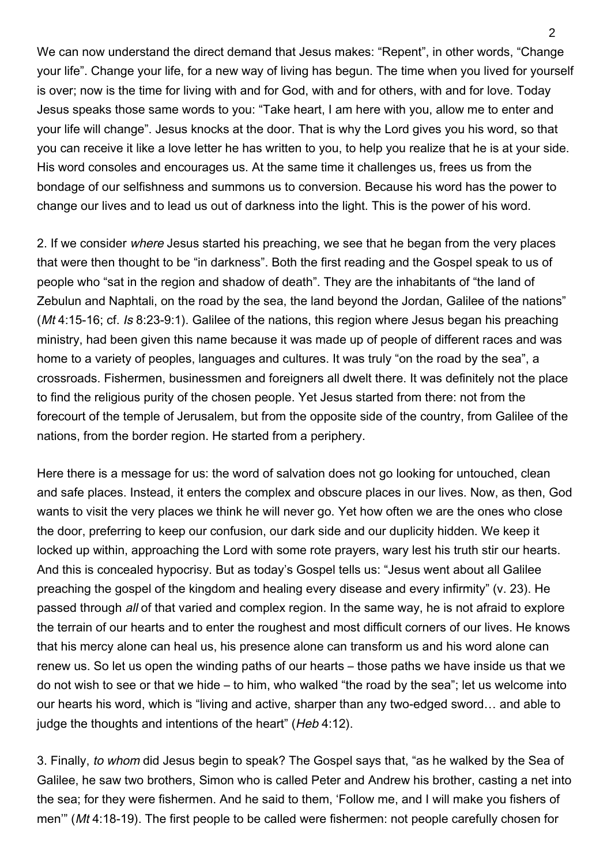We can now understand the direct demand that Jesus makes: "Repent", in other words, "Change your life". Change your life, for a new way of living has begun. The time when you lived for yourself is over; now is the time for living with and for God, with and for others, with and for love. Today Jesus speaks those same words to you: "Take heart, I am here with you, allow me to enter and your life will change". Jesus knocks at the door. That is why the Lord gives you his word, so that you can receive it like a love letter he has written to you, to help you realize that he is at your side. His word consoles and encourages us. At the same time it challenges us, frees us from the bondage of our selfishness and summons us to conversion. Because his word has the power to change our lives and to lead us out of darkness into the light. This is the power of his word.

2. If we consider where Jesus started his preaching, we see that he began from the very places that were then thought to be "in darkness". Both the first reading and the Gospel speak to us of people who "sat in the region and shadow of death". They are the inhabitants of "the land of Zebulun and Naphtali, on the road by the sea, the land beyond the Jordan, Galilee of the nations" (Mt 4:15-16; cf. Is 8:23-9:1). Galilee of the nations, this region where Jesus began his preaching ministry, had been given this name because it was made up of people of different races and was home to a variety of peoples, languages and cultures. It was truly "on the road by the sea", a crossroads. Fishermen, businessmen and foreigners all dwelt there. It was definitely not the place to find the religious purity of the chosen people. Yet Jesus started from there: not from the forecourt of the temple of Jerusalem, but from the opposite side of the country, from Galilee of the nations, from the border region. He started from a periphery.

Here there is a message for us: the word of salvation does not go looking for untouched, clean and safe places. Instead, it enters the complex and obscure places in our lives. Now, as then, God wants to visit the very places we think he will never go. Yet how often we are the ones who close the door, preferring to keep our confusion, our dark side and our duplicity hidden. We keep it locked up within, approaching the Lord with some rote prayers, wary lest his truth stir our hearts. And this is concealed hypocrisy. But as today's Gospel tells us: "Jesus went about all Galilee preaching the gospel of the kingdom and healing every disease and every infirmity" (v. 23). He passed through all of that varied and complex region. In the same way, he is not afraid to explore the terrain of our hearts and to enter the roughest and most difficult corners of our lives. He knows that his mercy alone can heal us, his presence alone can transform us and his word alone can renew us. So let us open the winding paths of our hearts – those paths we have inside us that we do not wish to see or that we hide – to him, who walked "the road by the sea"; let us welcome into our hearts his word, which is "living and active, sharper than any two-edged sword… and able to judge the thoughts and intentions of the heart" (Heb 4:12).

3. Finally, to whom did Jesus begin to speak? The Gospel says that, "as he walked by the Sea of Galilee, he saw two brothers, Simon who is called Peter and Andrew his brother, casting a net into the sea; for they were fishermen. And he said to them, 'Follow me, and I will make you fishers of men'" (Mt 4:18-19). The first people to be called were fishermen: not people carefully chosen for